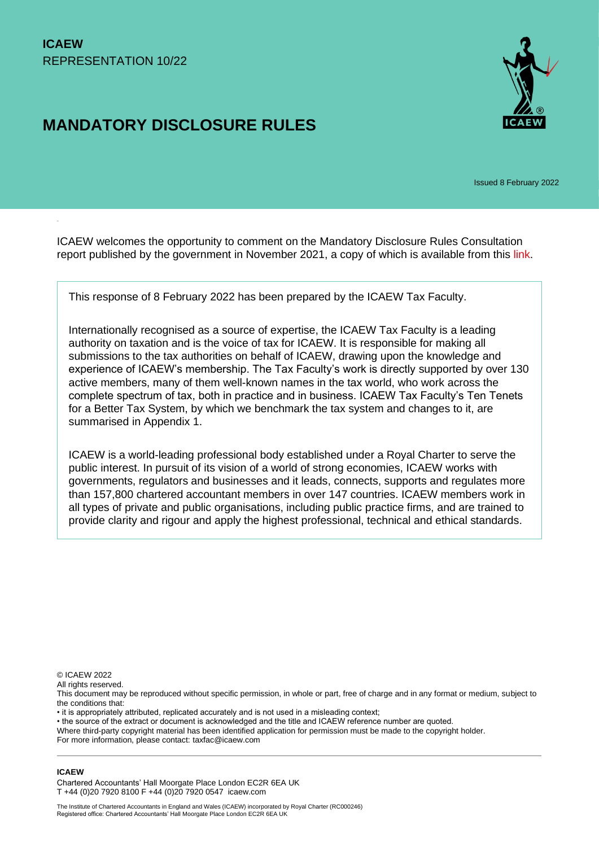# **MANDATORY DISCLOSURE RULES**



Issued 8 February 2022

ICAEW welcomes the opportunity to comment on the Mandatory Disclosure Rules Consultation report published by the government in November 2021, a copy of which is available from this [link.](https://assets.publishing.service.gov.uk/government/uploads/system/uploads/attachment_data/file/1037442/HMRC_consultation_Mandatory_Disclosure_Rules.pdf)

This response of 8 February 2022 has been prepared by the ICAEW Tax Faculty.

Internationally recognised as a source of expertise, the ICAEW Tax Faculty is a leading authority on taxation and is the voice of tax for ICAEW. It is responsible for making all submissions to the tax authorities on behalf of ICAEW, drawing upon the knowledge and experience of ICAEW's membership. The Tax Faculty's work is directly supported by over 130 active members, many of them well-known names in the tax world, who work across the complete spectrum of tax, both in practice and in business. ICAEW Tax Faculty's Ten Tenets for a Better Tax System, by which we benchmark the tax system and changes to it, are summarised in Appendix 1.

ICAEW is a world-leading professional body established under a Royal Charter to serve the public interest. In pursuit of its vision of a world of strong economies, ICAEW works with governments, regulators and businesses and it leads, connects, supports and regulates more than 157,800 chartered accountant members in over 147 countries. ICAEW members work in all types of private and public organisations, including public practice firms, and are trained to provide clarity and rigour and apply the highest professional, technical and ethical standards.

© ICAEW 2022

All rights reserved.

This document may be reproduced without specific permission, in whole or part, free of charge and in any format or medium, subject to the conditions that:

• it is appropriately attributed, replicated accurately and is not used in a misleading context;

• the source of the extract or document is acknowledged and the title and ICAEW reference number are quoted.

Where third-party copyright material has been identified application for permission must be made to the copyright holder. For more information, please contact: taxfac@icaew.com

#### **ICAEW**

Chartered Accountants' Hall Moorgate Place London EC2R 6EA UK T +44 (0)20 7920 8100 F +44 (0)20 7920 0547 icaew.com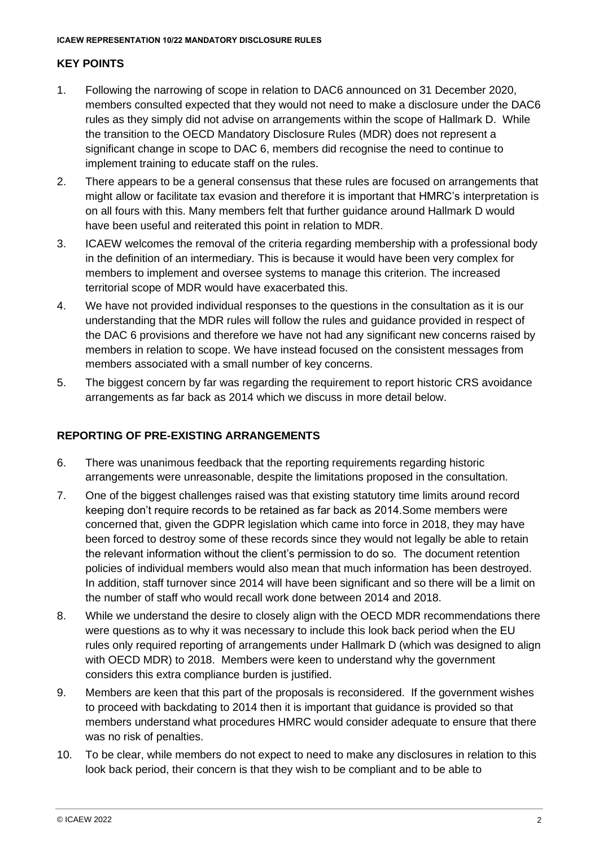### **KEY POINTS**

- 1. Following the narrowing of scope in relation to DAC6 announced on 31 December 2020, members consulted expected that they would not need to make a disclosure under the DAC6 rules as they simply did not advise on arrangements within the scope of Hallmark D. While the transition to the OECD Mandatory Disclosure Rules (MDR) does not represent a significant change in scope to DAC 6, members did recognise the need to continue to implement training to educate staff on the rules.
- 2. There appears to be a general consensus that these rules are focused on arrangements that might allow or facilitate tax evasion and therefore it is important that HMRC's interpretation is on all fours with this. Many members felt that further guidance around Hallmark D would have been useful and reiterated this point in relation to MDR.
- 3. ICAEW welcomes the removal of the criteria regarding membership with a professional body in the definition of an intermediary. This is because it would have been very complex for members to implement and oversee systems to manage this criterion. The increased territorial scope of MDR would have exacerbated this.
- 4. We have not provided individual responses to the questions in the consultation as it is our understanding that the MDR rules will follow the rules and guidance provided in respect of the DAC 6 provisions and therefore we have not had any significant new concerns raised by members in relation to scope. We have instead focused on the consistent messages from members associated with a small number of key concerns.
- 5. The biggest concern by far was regarding the requirement to report historic CRS avoidance arrangements as far back as 2014 which we discuss in more detail below.

### **REPORTING OF PRE-EXISTING ARRANGEMENTS**

- 6. There was unanimous feedback that the reporting requirements regarding historic arrangements were unreasonable, despite the limitations proposed in the consultation.
- 7. One of the biggest challenges raised was that existing statutory time limits around record keeping don't require records to be retained as far back as 2014.Some members were concerned that, given the GDPR legislation which came into force in 2018, they may have been forced to destroy some of these records since they would not legally be able to retain the relevant information without the client's permission to do so. The document retention policies of individual members would also mean that much information has been destroyed. In addition, staff turnover since 2014 will have been significant and so there will be a limit on the number of staff who would recall work done between 2014 and 2018.
- 8. While we understand the desire to closely align with the OECD MDR recommendations there were questions as to why it was necessary to include this look back period when the EU rules only required reporting of arrangements under Hallmark D (which was designed to align with OECD MDR) to 2018. Members were keen to understand why the government considers this extra compliance burden is justified.
- 9. Members are keen that this part of the proposals is reconsidered. If the government wishes to proceed with backdating to 2014 then it is important that guidance is provided so that members understand what procedures HMRC would consider adequate to ensure that there was no risk of penalties.
- 10. To be clear, while members do not expect to need to make any disclosures in relation to this look back period, their concern is that they wish to be compliant and to be able to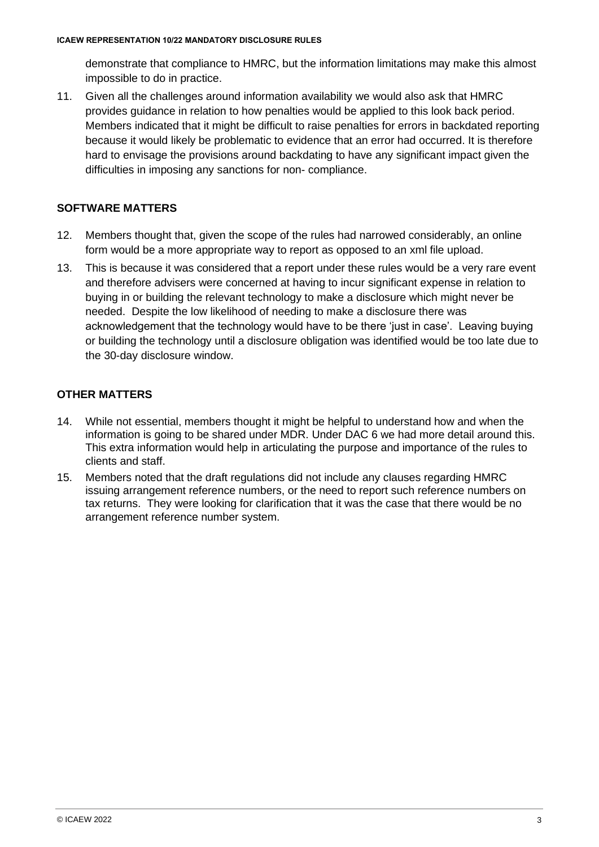demonstrate that compliance to HMRC, but the information limitations may make this almost impossible to do in practice.

11. Given all the challenges around information availability we would also ask that HMRC provides guidance in relation to how penalties would be applied to this look back period. Members indicated that it might be difficult to raise penalties for errors in backdated reporting because it would likely be problematic to evidence that an error had occurred. It is therefore hard to envisage the provisions around backdating to have any significant impact given the difficulties in imposing any sanctions for non- compliance.

# **SOFTWARE MATTERS**

- 12. Members thought that, given the scope of the rules had narrowed considerably, an online form would be a more appropriate way to report as opposed to an xml file upload.
- 13. This is because it was considered that a report under these rules would be a very rare event and therefore advisers were concerned at having to incur significant expense in relation to buying in or building the relevant technology to make a disclosure which might never be needed. Despite the low likelihood of needing to make a disclosure there was acknowledgement that the technology would have to be there 'just in case'. Leaving buying or building the technology until a disclosure obligation was identified would be too late due to the 30-day disclosure window.

# **OTHER MATTERS**

- 14. While not essential, members thought it might be helpful to understand how and when the information is going to be shared under MDR. Under DAC 6 we had more detail around this. This extra information would help in articulating the purpose and importance of the rules to clients and staff.
- 15. Members noted that the draft regulations did not include any clauses regarding HMRC issuing arrangement reference numbers, or the need to report such reference numbers on tax returns. They were looking for clarification that it was the case that there would be no arrangement reference number system.